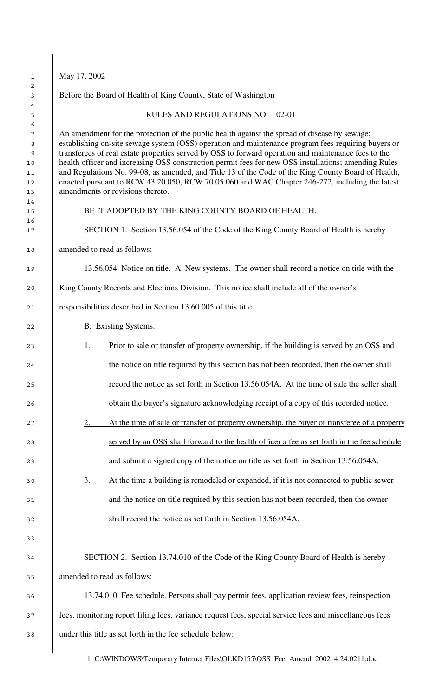| 1<br>2                                    | May 17, 2002                                                                                                                                                                                                                                                                                                                                                                                                                                                                                                                                                                                                                                                      |  |  |  |  |  |  |  |
|-------------------------------------------|-------------------------------------------------------------------------------------------------------------------------------------------------------------------------------------------------------------------------------------------------------------------------------------------------------------------------------------------------------------------------------------------------------------------------------------------------------------------------------------------------------------------------------------------------------------------------------------------------------------------------------------------------------------------|--|--|--|--|--|--|--|
| 3<br>4                                    | Before the Board of Health of King County, State of Washington                                                                                                                                                                                                                                                                                                                                                                                                                                                                                                                                                                                                    |  |  |  |  |  |  |  |
| 5<br>6                                    | RULES AND REGULATIONS NO. 02-01                                                                                                                                                                                                                                                                                                                                                                                                                                                                                                                                                                                                                                   |  |  |  |  |  |  |  |
| 7<br>8<br>9<br>10<br>11<br>12<br>13<br>14 | An amendment for the protection of the public health against the spread of disease by sewage;<br>establishing on-site sewage system (OSS) operation and maintenance program fees requiring buyers or<br>transferees of real estate properties served by OSS to forward operation and maintenance fees to the<br>health officer and increasing OSS construction permit fees for new OSS installations; amending Rules<br>and Regulations No. 99-08, as amended, and Title 13 of the Code of the King County Board of Health,<br>enacted pursuant to RCW 43.20.050, RCW 70.05.060 and WAC Chapter 246-272, including the latest<br>amendments or revisions thereto. |  |  |  |  |  |  |  |
| 15<br>16                                  | BE IT ADOPTED BY THE KING COUNTY BOARD OF HEALTH:                                                                                                                                                                                                                                                                                                                                                                                                                                                                                                                                                                                                                 |  |  |  |  |  |  |  |
| 17                                        | <b>SECTION 1.</b> Section 13.56.054 of the Code of the King County Board of Health is hereby                                                                                                                                                                                                                                                                                                                                                                                                                                                                                                                                                                      |  |  |  |  |  |  |  |
| 18                                        | amended to read as follows:                                                                                                                                                                                                                                                                                                                                                                                                                                                                                                                                                                                                                                       |  |  |  |  |  |  |  |
| 19                                        | 13.56.054 Notice on title. A. New systems. The owner shall record a notice on title with the                                                                                                                                                                                                                                                                                                                                                                                                                                                                                                                                                                      |  |  |  |  |  |  |  |
| 20                                        | King County Records and Elections Division. This notice shall include all of the owner's                                                                                                                                                                                                                                                                                                                                                                                                                                                                                                                                                                          |  |  |  |  |  |  |  |
| 21                                        | responsibilities described in Section 13.60.005 of this title.                                                                                                                                                                                                                                                                                                                                                                                                                                                                                                                                                                                                    |  |  |  |  |  |  |  |
| 22                                        | B. Existing Systems.                                                                                                                                                                                                                                                                                                                                                                                                                                                                                                                                                                                                                                              |  |  |  |  |  |  |  |
| 23                                        | Prior to sale or transfer of property ownership, if the building is served by an OSS and<br>1.                                                                                                                                                                                                                                                                                                                                                                                                                                                                                                                                                                    |  |  |  |  |  |  |  |
| 24                                        | the notice on title required by this section has not been recorded, then the owner shall                                                                                                                                                                                                                                                                                                                                                                                                                                                                                                                                                                          |  |  |  |  |  |  |  |
| 25                                        | record the notice as set forth in Section 13.56.054A. At the time of sale the seller shall                                                                                                                                                                                                                                                                                                                                                                                                                                                                                                                                                                        |  |  |  |  |  |  |  |
| 26                                        | obtain the buyer's signature acknowledging receipt of a copy of this recorded notice.                                                                                                                                                                                                                                                                                                                                                                                                                                                                                                                                                                             |  |  |  |  |  |  |  |
| $2\,7$                                    | At the time of sale or transfer of property ownership, the buyer or transferee of a property<br>2.                                                                                                                                                                                                                                                                                                                                                                                                                                                                                                                                                                |  |  |  |  |  |  |  |
|                                           | served by an OSS shall forward to the health officer a fee as set forth in the fee schedule                                                                                                                                                                                                                                                                                                                                                                                                                                                                                                                                                                       |  |  |  |  |  |  |  |
|                                           | and submit a signed copy of the notice on title as set forth in Section 13.56.054A.                                                                                                                                                                                                                                                                                                                                                                                                                                                                                                                                                                               |  |  |  |  |  |  |  |
|                                           | 3.<br>At the time a building is remodeled or expanded, if it is not connected to public sewer                                                                                                                                                                                                                                                                                                                                                                                                                                                                                                                                                                     |  |  |  |  |  |  |  |
|                                           | and the notice on title required by this section has not been recorded, then the owner                                                                                                                                                                                                                                                                                                                                                                                                                                                                                                                                                                            |  |  |  |  |  |  |  |
|                                           | shall record the notice as set forth in Section 13.56.054A.                                                                                                                                                                                                                                                                                                                                                                                                                                                                                                                                                                                                       |  |  |  |  |  |  |  |
|                                           |                                                                                                                                                                                                                                                                                                                                                                                                                                                                                                                                                                                                                                                                   |  |  |  |  |  |  |  |
| 34                                        | SECTION 2. Section 13.74.010 of the Code of the King County Board of Health is hereby                                                                                                                                                                                                                                                                                                                                                                                                                                                                                                                                                                             |  |  |  |  |  |  |  |
| 35                                        | amended to read as follows:                                                                                                                                                                                                                                                                                                                                                                                                                                                                                                                                                                                                                                       |  |  |  |  |  |  |  |
| 36                                        | 13.74.010 Fee schedule. Persons shall pay permit fees, application review fees, reinspection                                                                                                                                                                                                                                                                                                                                                                                                                                                                                                                                                                      |  |  |  |  |  |  |  |
| 37                                        | fees, monitoring report filing fees, variance request fees, special service fees and miscellaneous fees                                                                                                                                                                                                                                                                                                                                                                                                                                                                                                                                                           |  |  |  |  |  |  |  |
|                                           | under this title as set forth in the fee schedule below:                                                                                                                                                                                                                                                                                                                                                                                                                                                                                                                                                                                                          |  |  |  |  |  |  |  |

1 C:\WINDOWS\Temporary Internet Files\OLKD155\OSS\_Fee\_Amend\_2002\_4.24.0211.doc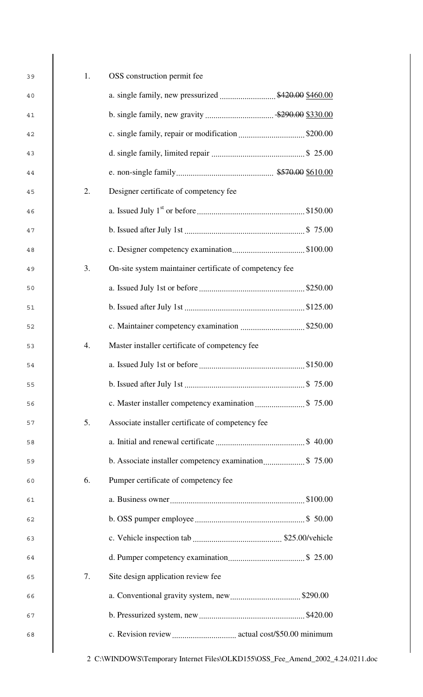| 39 | 1. | OSS construction permit fee                             |
|----|----|---------------------------------------------------------|
| 40 |    | a. single family, new pressurized  \$420.00 \$460.00    |
| 41 |    |                                                         |
| 42 |    |                                                         |
| 43 |    |                                                         |
| 44 |    |                                                         |
| 45 | 2. | Designer certificate of competency fee                  |
| 46 |    |                                                         |
| 47 |    |                                                         |
| 48 |    |                                                         |
| 49 | 3. | On-site system maintainer certificate of competency fee |
| 50 |    |                                                         |
| 51 |    |                                                         |
| 52 |    |                                                         |
| 53 | 4. | Master installer certificate of competency fee          |
| 54 |    |                                                         |
| 55 |    |                                                         |
| 56 |    |                                                         |
| 57 | 5. | Associate installer certificate of competency fee       |
| 58 |    |                                                         |
| 59 |    |                                                         |
| 60 | 6. | Pumper certificate of competency fee                    |
| 61 |    |                                                         |
| 62 |    |                                                         |
| 63 |    |                                                         |
| 64 |    |                                                         |
| 65 | 7. | Site design application review fee                      |
| 66 |    |                                                         |
| 67 |    |                                                         |
| 68 |    |                                                         |
|    |    |                                                         |

 $\overline{\phantom{a}}$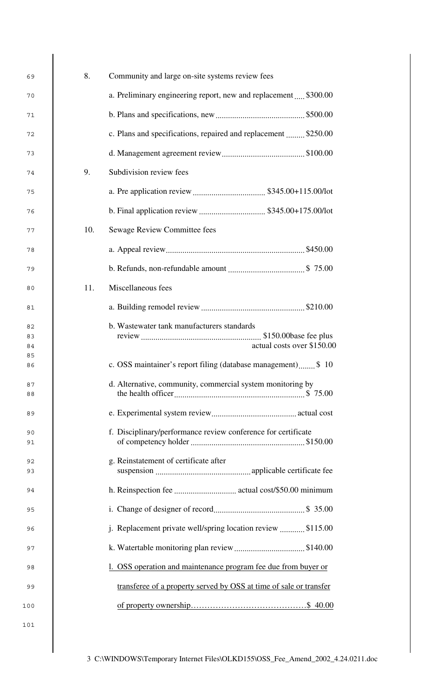| 69       | 8.<br>Community and large on-site systems review fees       |                                                                    |  |  |
|----------|-------------------------------------------------------------|--------------------------------------------------------------------|--|--|
| 70       |                                                             | a. Preliminary engineering report, new and replacement  \$300.00   |  |  |
| 71       |                                                             |                                                                    |  |  |
| 72       |                                                             | c. Plans and specifications, repaired and replacement  \$250.00    |  |  |
| 73       |                                                             |                                                                    |  |  |
| 74       | 9.                                                          | Subdivision review fees                                            |  |  |
| 75       |                                                             |                                                                    |  |  |
| 76       |                                                             |                                                                    |  |  |
| 77       | 10.                                                         | Sewage Review Committee fees                                       |  |  |
| 78       |                                                             |                                                                    |  |  |
| 79       |                                                             |                                                                    |  |  |
| 80       | 11.                                                         | Miscellaneous fees                                                 |  |  |
| 81       |                                                             |                                                                    |  |  |
| 82       |                                                             | b. Wastewater tank manufacturers standards                         |  |  |
| 83<br>84 |                                                             | actual costs over \$150.00                                         |  |  |
| 85       |                                                             |                                                                    |  |  |
| 86       |                                                             | c. OSS maintainer's report filing (database management) \$ 10      |  |  |
| 87<br>88 |                                                             | d. Alternative, community, commercial system monitoring by         |  |  |
| 89       |                                                             |                                                                    |  |  |
| 90       |                                                             | f. Disciplinary/performance review conference for certificate      |  |  |
| 91       |                                                             |                                                                    |  |  |
| 92<br>93 |                                                             | g. Reinstatement of certificate after                              |  |  |
| 94       |                                                             |                                                                    |  |  |
| 95       |                                                             |                                                                    |  |  |
| 96       | j. Replacement private well/spring location review \$115.00 |                                                                    |  |  |
| 97       |                                                             |                                                                    |  |  |
| 98       |                                                             | OSS operation and maintenance program fee due from buyer or        |  |  |
| 99       |                                                             | transferee of a property served by OSS at time of sale or transfer |  |  |
| 100      |                                                             |                                                                    |  |  |
| 101      |                                                             |                                                                    |  |  |

 $\overline{\phantom{a}}$